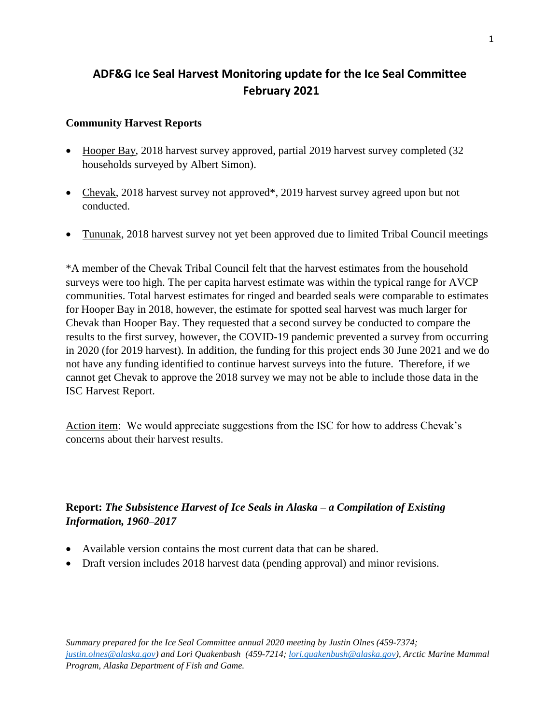## **ADF&G Ice Seal Harvest Monitoring update for the Ice Seal Committee February 2021**

## **Community Harvest Reports**

- Hooper Bay, 2018 harvest survey approved, partial 2019 harvest survey completed (32 households surveyed by Albert Simon).
- Chevak, 2018 harvest survey not approved<sup>\*</sup>, 2019 harvest survey agreed upon but not conducted.
- Tununak, 2018 harvest survey not yet been approved due to limited Tribal Council meetings

\*A member of the Chevak Tribal Council felt that the harvest estimates from the household surveys were too high. The per capita harvest estimate was within the typical range for AVCP communities. Total harvest estimates for ringed and bearded seals were comparable to estimates for Hooper Bay in 2018, however, the estimate for spotted seal harvest was much larger for Chevak than Hooper Bay. They requested that a second survey be conducted to compare the results to the first survey, however, the COVID-19 pandemic prevented a survey from occurring in 2020 (for 2019 harvest). In addition, the funding for this project ends 30 June 2021 and we do not have any funding identified to continue harvest surveys into the future. Therefore, if we cannot get Chevak to approve the 2018 survey we may not be able to include those data in the ISC Harvest Report.

Action item: We would appreciate suggestions from the ISC for how to address Chevak's concerns about their harvest results.

## **Report:** *The Subsistence Harvest of Ice Seals in Alaska – a Compilation of Existing Information, 1960–2017*

- Available version contains the most current data that can be shared.
- Draft version includes 2018 harvest data (pending approval) and minor revisions.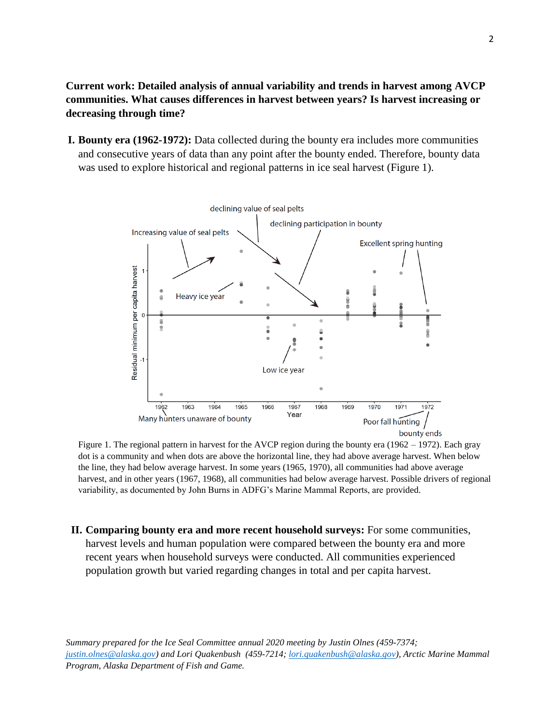**Current work: Detailed analysis of annual variability and trends in harvest among AVCP communities. What causes differences in harvest between years? Is harvest increasing or decreasing through time?**

**I. Bounty era (1962-1972):** Data collected during the bounty era includes more communities and consecutive years of data than any point after the bounty ended. Therefore, bounty data was used to explore historical and regional patterns in ice seal harvest (Figure 1).



Figure 1. The regional pattern in harvest for the AVCP region during the bounty era (1962 – 1972). Each gray dot is a community and when dots are above the horizontal line, they had above average harvest. When below the line, they had below average harvest. In some years (1965, 1970), all communities had above average harvest, and in other years (1967, 1968), all communities had below average harvest. Possible drivers of regional variability, as documented by John Burns in ADFG's Marine Mammal Reports, are provided.

**II. Comparing bounty era and more recent household surveys:** For some communities, harvest levels and human population were compared between the bounty era and more recent years when household surveys were conducted. All communities experienced population growth but varied regarding changes in total and per capita harvest.